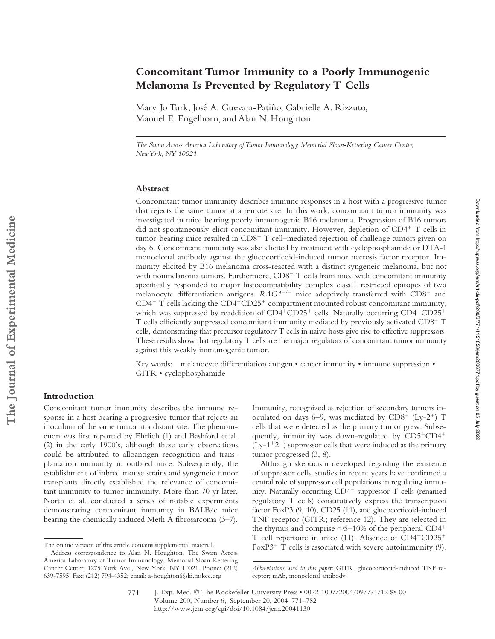# **Concomitant Tumor Immunity to a Poorly Immunogenic Melanoma Is Prevented by Regulatory T Cells**

Mary Jo Turk, José A. Guevara-Patiño, Gabrielle A. Rizzuto, Manuel E. Engelhorn, and Alan N. Houghton

*The Swim Across America Laboratory of Tumor Immunology, Memorial Sloan-Kettering Cancer Center, New York, NY 10021*

## **Abstract**

Concomitant tumor immunity describes immune responses in a host with a progressive tumor that rejects the same tumor at a remote site. In this work, concomitant tumor immunity was investigated in mice bearing poorly immunogenic B16 melanoma. Progression of B16 tumors did not spontaneously elicit concomitant immunity. However, depletion of  $CD4<sup>+</sup>$  T cells in tumor-bearing mice resulted in  $CD8<sup>+</sup>$  T cell–mediated rejection of challenge tumors given on day 6. Concomitant immunity was also elicited by treatment with cyclophosphamide or DTA-1 monoclonal antibody against the glucocorticoid-induced tumor necrosis factor receptor. Immunity elicited by B16 melanoma cross-reacted with a distinct syngeneic melanoma, but not with nonmelanoma tumors. Furthermore,  $CDS<sup>+</sup> T$  cells from mice with concomitant immunity specifically responded to major histocompatibility complex class I–restricted epitopes of two melanocyte differentiation antigens. RAG1<sup>-/-</sup> mice adoptively transferred with CD8<sup>+</sup> and  $CD4^+$  T cells lacking the  $CD4^+CD25^+$  compartment mounted robust concomitant immunity, which was suppressed by readdition of  $CD4+CD25+$  cells. Naturally occurring  $CD4+CD25+$ T cells efficiently suppressed concomitant immunity mediated by previously activated  $CDS^+$  T cells, demonstrating that precursor regulatory T cells in naive hosts give rise to effective suppressors. These results show that regulatory T cells are the major regulators of concomitant tumor immunity against this weakly immunogenic tumor.

Key words: melanocyte differentiation antigen • cancer immunity • immune suppression • GITR • cyclophosphamide

### **Introduction**

Concomitant tumor immunity describes the immune response in a host bearing a progressive tumor that rejects an inoculum of the same tumor at a distant site. The phenomenon was first reported by Ehrlich (1) and Bashford et al. (2) in the early 1900's, although these early observations could be attributed to alloantigen recognition and transplantation immunity in outbred mice. Subsequently, the establishment of inbred mouse strains and syngeneic tumor transplants directly established the relevance of concomitant immunity to tumor immunity. More than 70 yr later, North et al. conducted a series of notable experiments demonstrating concomitant immunity in BALB/c mice bearing the chemically induced Meth A fibrosarcoma (3–7).

Immunity, recognized as rejection of secondary tumors inoculated on days 6–9, was mediated by  $CD8^+$  (Ly-2<sup>+</sup>) T cells that were detected as the primary tumor grew. Subsequently, immunity was down-regulated by  $CD5+CD4$ <sup>+</sup>  $(Ly-1+2^-)$  suppressor cells that were induced as the primary tumor progressed (3, 8).

Although skepticism developed regarding the existence of suppressor cells, studies in recent years have confirmed a central role of suppressor cell populations in regulating immunity. Naturally occurring  $CD4^+$  suppressor T cells (renamed regulatory T cells) constitutively express the transcription factor FoxP3 (9, 10), CD25 (11), and glucocorticoid-induced TNF receptor (GITR; reference 12). They are selected in the thymus and comprise  $\sim$  5–10% of the peripheral CD4<sup>+</sup> T cell repertoire in mice  $(11)$ . Absence of CD4<sup>+</sup>CD25<sup>+</sup> The online version of this article contains supplemental material.  $FoxP3$ <sup>+</sup> T cells is associated with severe autoimmunity (9).

Address correspondence to Alan N. Houghton, The Swim Across America Laboratory of Tumor Immunology, Memorial Sloan-Kettering Cancer Center, 1275 York Ave., New York, NY 10021. Phone: (212) 639-7595; Fax: (212) 794-4352; email: a-houghton@ski.mskcc.org

*Abbreviations used in this paper:* GITR, glucocorticoid-induced TNF receptor; mAb, monoclonal antibody.

J. Exp. Med. © The Rockefeller University Press • 0022-1007/2004/09/771/12 \$8.00 Volume 200, Number 6, September 20, 2004 771–782 http://www.jem.org/cgi/doi/10.1084/jem.20041130 771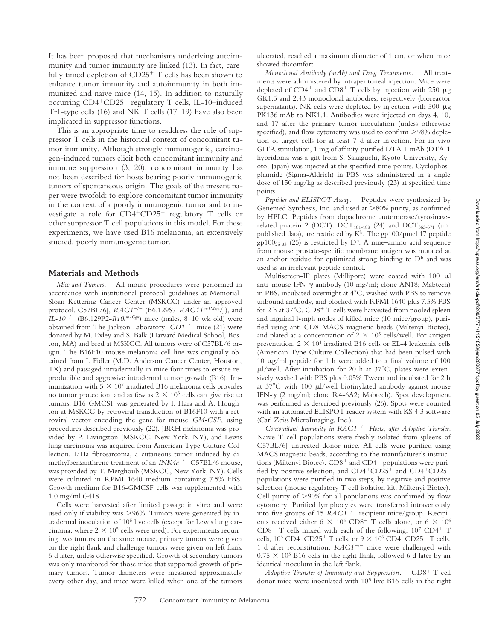It has been proposed that mechanisms underlying autoimmunity and tumor immunity are linked (13). In fact, carefully timed depletion of  $CD25<sup>+</sup>$  T cells has been shown to enhance tumor immunity and autoimmunity in both immunized and naive mice (14, 15). In addition to naturally occurring  $CD4+CD25+$  regulatory T cells, IL-10–induced Tr1-type cells (16) and NK T cells (17–19) have also been implicated in suppressor functions.

This is an appropriate time to readdress the role of suppressor T cells in the historical context of concomitant tumor immunity. Although strongly immunogenic, carcinogen-induced tumors elicit both concomitant immunity and immune suppression (3, 20), concomitant immunity has not been described for hosts bearing poorly immunogenic tumors of spontaneous origin. The goals of the present paper were twofold: to explore concomitant tumor immunity in the context of a poorly immunogenic tumor and to investigate a role for CD4<sup>+</sup>CD25<sup>+</sup> regulatory T cells or other suppressor T cell populations in this model. For these experiments, we have used B16 melanoma, an extensively studied, poorly immunogenic tumor.

#### **Materials and Methods**

*Mice and Tumors.* All mouse procedures were performed in accordance with institutional protocol guidelines at Memorial-Sloan Kettering Cancer Center (MSKCC) under an approved protocol. C57BL/6J, *RAG1*-- (B6.129S7-*RAG11tm1Mom*/J), and *IL-10<sup>-/-</sup>* (B6.129P2-*Il10t<sup>m1Cgn</sup>*) mice (males, 8–10 wk old) were obtained from The Jackson Laboratory. *CD1<sup>-/-</sup>* mice (21) were donated by M. Exley and S. Balk (Harvard Medical School, Boston, MA) and bred at MSKCC. All tumors were of C57BL/6 origin. The B16F10 mouse melanoma cell line was originally obtained from I. Fidler (M.D. Anderson Cancer Center, Houston, TX) and passaged intradermally in mice four times to ensure reproducible and aggressive intradermal tumor growth (B16). Immunization with  $5 \times 10^7$  irradiated B16 melanoma cells provides no tumor protection, and as few as  $2 \times 10^3$  cells can give rise to tumors. B16-GMCSF was generated by I. Hara and A. Houghton at MSKCC by retroviral transduction of B16F10 with a retroviral vector encoding the gene for mouse *GM-CSF*, using procedures described previously (22). JBRH melanoma was provided by P. Livingston (MSKCC, New York, NY), and Lewis lung carcinoma was acquired from American Type Culture Collection. LiHa fibrosarcoma, a cutaneous tumor induced by dimethylbenzanthrene treatment of an *INK4a<sup>-/-</sup>* C57BL/6 mouse, was provided by T. Merghoub (MSKCC, New York, NY). Cells were cultured in RPMI 1640 medium containing 7.5% FBS. Growth medium for B16-GMCSF cells was supplemented with 1.0 mg/ml G418.

Cells were harvested after limited passage in vitro and were used only if viability was >96%. Tumors were generated by intradermal inoculation of 105 live cells (except for Lewis lung carcinoma, where  $2 \times 10^5$  cells were used). For experiments requiring two tumors on the same mouse, primary tumors were given on the right flank and challenge tumors were given on left flank 6 d later, unless otherwise specified. Growth of secondary tumors was only monitored for those mice that supported growth of primary tumors. Tumor diameters were measured approximately every other day, and mice were killed when one of the tumors ulcerated, reached a maximum diameter of 1 cm, or when mice showed discomfort.

*Monoclonal Antibody (mAb) and Drug Treatments.* All treatments were administered by intraperitoneal injection. Mice were depleted of CD4<sup>+</sup> and CD8<sup>+</sup> T cells by injection with 250  $\mu$ g GK1.5 and 2.43 monoclonal antibodies, respectively (bioreactor supernatants). NK cells were depleted by injection with 500  $\mu$ g PK136 mAb to NK1.1. Antibodies were injected on days 4, 10, and 17 after the primary tumor inoculation (unless otherwise specified), and flow cytometry was used to confirm  $>98\%$  depletion of target cells for at least 7 d after injection. For in vivo GITR stimulation, 1 mg of affinity-purified DTA-1 mAb (DTA-1 hybridoma was a gift from S. Sakaguchi, Kyoto University, Kyoto, Japan) was injected at the specified time points. Cyclophosphamide (Sigma-Aldrich) in PBS was administered in a single dose of 150 mg/kg as described previously (23) at specified time points.

*Peptides and ELISPOT Assay.* Peptides were synthesized by Genemed Synthesis, Inc. and used at  $>80\%$  purity, as confirmed by HPLC. Peptides from dopachrome tautomerase/tyrosinaserelated protein 2 (DCT):  $\text{DCT}_{181\text{-}188}$  (24) and  $\text{DCT}_{363\text{-}371}$  (unpublished data), are restricted by  $K^b$ . The gp100/pmel 17 peptide  $gp100_{25-33}$  (25) is restricted by D<sup>b</sup>. A nine–amino acid sequence from mouse prostate-specific membrane antigen was mutated at an anchor residue for optimized strong binding to  $D^b$  and was used as an irrelevant peptide control.

Multiscreen-IP plates (Millipore) were coated with  $100 \mu l$ anti-mouse IFN- $\gamma$  antibody (10 mg/ml; clone AN18; Mabtech) in PBS, incubated overnight at  $4^{\circ}$ C, washed with PBS to remove unbound antibody, and blocked with RPMI 1640 plus 7.5% FBS for 2 h at  $37^{\circ}$ C. CD8<sup>+</sup> T cells were harvested from pooled spleen and inguinal lymph nodes of killed mice (10 mice/group), purified using anti-CD8 MACS magnetic beads (Miltenyi Biotec), and plated at a concentration of  $2 \times 10^5$  cells/well. For antigen presentation,  $2 \times 10^4$  irradiated B16 cells or EL-4 leukemia cells (American Type Culture Collection) that had been pulsed with 10  $\mu$ g/ml peptide for 1 h were added to a final volume of 100  $\mu$ l/well. After incubation for 20 h at 37°C, plates were extensively washed with PBS plus 0.05% Tween and incubated for 2 h at  $37^{\circ}$ C with 100 µl/well biotinylated antibody against mouse IFN-γ (2 mg/ml; clone R4-6A2; Mabtech). Spot development was performed as described previously (26). Spots were counted with an automated ELISPOT reader system with KS 4.3 software (Carl Zeiss MicroImaging, Inc.).

Concomitant Immunity in RAG1<sup>-/-</sup> Hosts, after Adoptive Transfer. Naive T cell populations were freshly isolated from spleens of C57BL/6J untreated donor mice. All cells were purified using MACS magnetic beads, according to the manufacturer's instructions (Miltenyi Biotec).  $CD8<sup>+</sup>$  and  $CD4<sup>+</sup>$  populations were purified by positive selection, and CD4+CD25+ and CD4+CD25populations were purified in two steps, by negative and positive selection (mouse regulatory T cell isolation kit; Miltenyi Biotec). Cell purity of  $>90\%$  for all populations was confirmed by flow cytometry. Purified lymphocytes were transferred intravenously into five groups of 15 RAG1<sup>-/-</sup> recipient mice/group. Recipients received either 6  $\times$  10<sup>6</sup> CD8<sup>+</sup> T cells alone, or 6  $\times$  10<sup>6</sup>  $CD8<sup>+</sup>$  T cells mixed with each of the following:  $10<sup>7</sup>$  CD4<sup>+</sup> T cells,  $10^6$  CD4<sup>+</sup>CD25<sup>+</sup> T cells, or  $9 \times 10^6$  CD4<sup>+</sup>CD25<sup>-</sup> T cells. 1 d after reconstitution, *RAG1*-- mice were challenged with  $0.75 \times 10^5$  B16 cells in the right flank, followed 6 d later by an identical inoculum in the left flank.

Adoptive Transfer of Immunity and Suppression. CD8<sup>+</sup> T cell donor mice were inoculated with  $10<sup>5</sup>$  live B16 cells in the right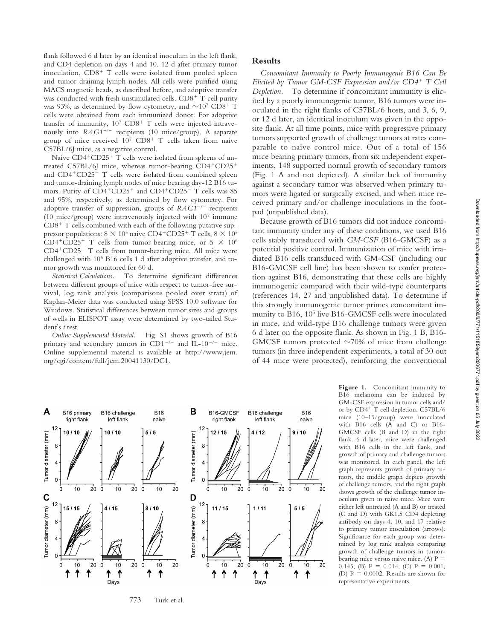flank followed 6 d later by an identical inoculum in the left flank, and CD4 depletion on days 4 and 10. 12 d after primary tumor inoculation,  $CD8<sup>+</sup>$  T cells were isolated from pooled spleen and tumor-draining lymph nodes. All cells were purified using MACS magnetic beads, as described before, and adoptive transfer was conducted with fresh unstimulated cells.  $CD8<sup>+</sup>$  T cell purity was 93%, as determined by flow cytometry, and  $\sim$ 10<sup>7</sup> CD8<sup>+</sup> T cells were obtained from each immunized donor. For adoptive transfer of immunity,  $10^7$  CD8<sup>+</sup> T cells were injected intravenously into *RAG1<sup>-/-</sup>* recipients (10 mice/group). A separate group of mice received  $10^7$  CD8<sup>+</sup> T cells taken from naive C57BL/6J mice, as a negative control.

Naive  $CD4+CD25+T$  cells were isolated from spleens of untreated C57BL/6J mice, whereas tumor-bearing  $CD4+CD25+$ and CD4<sup>+</sup>CD25<sup>-</sup> T cells were isolated from combined spleen and tumor-draining lymph nodes of mice bearing day-12 B16 tumors. Purity of CD4<sup>+</sup>CD25<sup>+</sup> and CD4<sup>+</sup>CD25<sup>-</sup> T cells was 85 and 95%, respectively, as determined by flow cytometry. For adoptive transfer of suppression, groups of *RAG1<sup>-/-</sup>* recipients (10 mice/group) were intravenously injected with 107 immune  $CD8<sup>+</sup>$  T cells combined with each of the following putative suppressor populations:  $8 \times 10^5$  naive CD4<sup>+</sup>CD25<sup>+</sup> T cells,  $8 \times 10^5$ CD4<sup>+</sup>CD25<sup>+</sup> T cells from tumor-bearing mice, or 5  $\times$  10<sup>6</sup> CD4<sup>+</sup>CD25<sup>-</sup> T cells from tumor-bearing mice. All mice were challenged with 105 B16 cells 1 d after adoptive transfer, and tumor growth was monitored for 60 d.

*Statistical Calculations.* To determine significant differences between different groups of mice with respect to tumor-free survival, log rank analysis (comparisons pooled over strata) of Kaplan-Meier data was conducted using SPSS 10.0 software for Windows. Statistical differences between tumor sizes and groups of wells in ELISPOT assay were determined by two-tailed Student's *t* test.

*Online Supplemental Material.* Fig. S1 shows growth of B16 primary and secondary tumors in CD1<sup>-/-</sup> and IL-10<sup>-/-</sup> mice. Online supplemental material is available at http://www.jem. org/cgi/content/full/jem.20041130/DC1.

# **Results**

*Concomitant Immunity to Poorly Immunogenic B16 Can Be Elicited by Tumor GM-CSF Expression and/or CD4 T Cell Depletion.* To determine if concomitant immunity is elicited by a poorly immunogenic tumor, B16 tumors were inoculated in the right flanks of C57BL/6 hosts, and 3, 6, 9, or 12 d later, an identical inoculum was given in the opposite flank. At all time points, mice with progressive primary tumors supported growth of challenge tumors at rates comparable to naive control mice. Out of a total of 156 mice bearing primary tumors, from six independent experiments, 148 supported normal growth of secondary tumors (Fig. 1 A and not depicted). A similar lack of immunity against a secondary tumor was observed when primary tumors were ligated or surgically excised, and when mice received primary and/or challenge inoculations in the footpad (unpublished data).

Because growth of B16 tumors did not induce concomitant immunity under any of these conditions, we used B16 cells stably transduced with *GM-CSF* (B16-GMCSF) as a potential positive control. Immunization of mice with irradiated B16 cells transduced with GM-CSF (including our B16-GMCSF cell line) has been shown to confer protection against B16, demonstrating that these cells are highly immunogenic compared with their wild-type counterparts (references 14, 27 and unpublished data). To determine if this strongly immunogenic tumor primes concomitant immunity to B16, 10<sup>5</sup> live B16-GMCSF cells were inoculated in mice, and wild-type B16 challenge tumors were given 6 d later on the opposite flank. As shown in Fig. 1 B, B16- GMCSF tumors protected  $\sim$ 70% of mice from challenge tumors (in three independent experiments, a total of 30 out of 44 mice were protected), reinforcing the conventional



B16 melanoma can be induced by GM-CSF expression in tumor cells and/ or by  $CD4^+$  T cell depletion. C57BL/6 mice (10–15/group) were inoculated with B16 cells (A and C) or B16- GMCSF cells (B and D) in the right flank. 6 d later, mice were challenged with B16 cells in the left flank, and growth of primary and challenge tumors was monitored. In each panel, the left graph represents growth of primary tumors, the middle graph depicts growth of challenge tumors, and the right graph shows growth of the challenge tumor inoculum given in naive mice. Mice were either left untreated (A and B) or treated (C and D) with GK1.5 CD4 depleting antibody on days 4, 10, and 17 relative to primary tumor inoculation (arrows). Significance for each group was determined by log rank analysis comparing growth of challenge tumors in tumorbearing mice versus naive mice. (A)  $P =$ 0.145; (B)  $P = 0.014$ ; (C)  $P = 0.001$ ; (D)  $P = 0.0002$ . Results are shown for representative experiments.

Figure 1. Concomitant immunity to

773 Turk et al.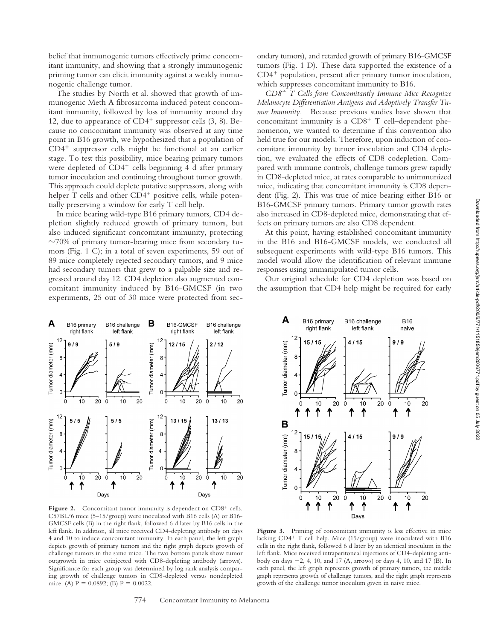belief that immunogenic tumors effectively prime concomitant immunity, and showing that a strongly immunogenic priming tumor can elicit immunity against a weakly immunogenic challenge tumor.

The studies by North et al. showed that growth of immunogenic Meth A fibrosarcoma induced potent concomitant immunity, followed by loss of immunity around day 12, due to appearance of  $CD4^+$  suppressor cells  $(3, 8)$ . Because no concomitant immunity was observed at any time point in B16 growth, we hypothesized that a population of  $CD4<sup>+</sup>$  suppressor cells might be functional at an earlier stage. To test this possibility, mice bearing primary tumors were depleted of  $CD4^+$  cells beginning 4 d after primary tumor inoculation and continuing throughout tumor growth. This approach could deplete putative suppressors, along with helper T cells and other  $CD4^+$  positive cells, while potentially preserving a window for early T cell help.

In mice bearing wild-type B16 primary tumors, CD4 depletion slightly reduced growth of primary tumors, but also induced significant concomitant immunity, protecting  $\sim$ 70% of primary tumor-bearing mice from secondary tumors (Fig. 1 C); in a total of seven experiments, 59 out of 89 mice completely rejected secondary tumors, and 9 mice had secondary tumors that grew to a palpable size and regressed around day 12. CD4 depletion also augmented concomitant immunity induced by B16-GMCSF (in two experiments, 25 out of 30 mice were protected from secondary tumors), and retarded growth of primary B16-GMCSF tumors (Fig. 1 D). These data supported the existence of a  $CD4<sup>+</sup>$  population, present after primary tumor inoculation, which suppresses concomitant immunity to B16.

*CD8 T Cells from Concomitantly Immune Mice Recognize Melanocyte Differentiation Antigens and Adoptively Transfer Tumor Immunity.* Because previous studies have shown that concomitant immunity is a  $CD8<sup>+</sup>$  T cell–dependent phenomenon, we wanted to determine if this convention also held true for our models. Therefore, upon induction of concomitant immunity by tumor inoculation and CD4 depletion, we evaluated the effects of CD8 codepletion. Compared with immune controls, challenge tumors grew rapidly in CD8-depleted mice, at rates comparable to unimmunized mice, indicating that concomitant immunity is CD8 dependent (Fig. 2). This was true of mice bearing either B16 or B16-GMCSF primary tumors. Primary tumor growth rates also increased in CD8-depleted mice, demonstrating that effects on primary tumors are also CD8 dependent.

At this point, having established concomitant immunity in the B16 and B16-GMCSF models, we conducted all subsequent experiments with wild-type B16 tumors. This model would allow the identification of relevant immune responses using unmanipulated tumor cells.

Our original schedule for CD4 depletion was based on the assumption that CD4 help might be required for early





Figure 2. Concomitant tumor immunity is dependent on CD8<sup>+</sup> cells. C57BL/6 mice (5–15/group) were inoculated with B16 cells (A) or B16- GMCSF cells (B) in the right flank, followed 6 d later by B16 cells in the left flank. In addition, all mice received CD4-depleting antibody on days 4 and 10 to induce concomitant immunity. In each panel, the left graph depicts growth of primary tumors and the right graph depicts growth of challenge tumors in the same mice. The two bottom panels show tumor outgrowth in mice coinjected with CD8-depleting antibody (arrows). Significance for each group was determined by log rank analysis comparing growth of challenge tumors in CD8-depleted versus nondepleted mice. (A)  $P = 0.0892$ ; (B)  $P = 0.0022$ .

Figure 3. Priming of concomitant immunity is less effective in mice lacking  $CD4^+$  T cell help. Mice (15/group) were inoculated with B16 cells in the right flank, followed 6 d later by an identical inoculum in the left flank. Mice received intraperitoneal injections of CD4-depleting antibody on days -2, 4, 10, and 17 (A, arrows) or days 4, 10, and 17 (B). In each panel, the left graph represents growth of primary tumors, the middle graph represents growth of challenge tumors, and the right graph represents growth of the challenge tumor inoculum given in naive mice.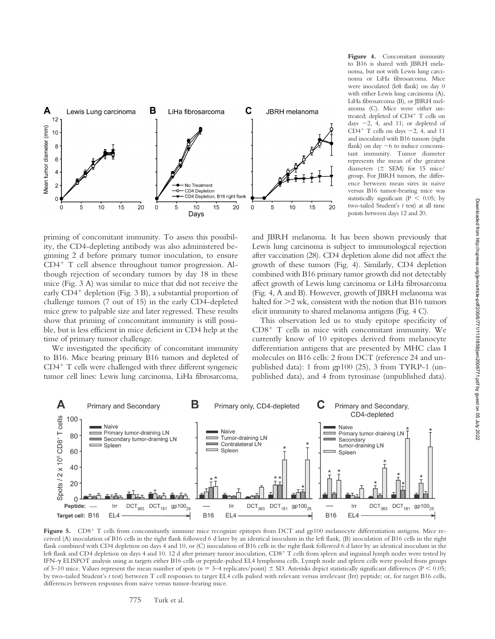

**Figure 4.** Concomitant immunity to B16 is shared with JBRH melanoma, but not with Lewis lung carcinoma or LiHa fibrosarcoma. Mice were inoculated (left flank) on day 0 with either Lewis lung carcinoma (A), LiHa fibrosarcoma (B), or JBRH melanoma (C). Mice were either untreated; depleted of CD4<sup>+</sup> T cells on days -2, 4, and 11; or depleted of CD4<sup>+</sup> T cells on days  $-2$ , 4, and 11 and inoculated with B16 tumors (right flank) on day  $-6$  to induce concomitant immunity. Tumor diameter represents the mean of the greatest diameters ( SEM) for 15 mice/ group. For JBRH tumors, the difference between mean sizes in naive versus B16 tumor-bearing mice was statistically significant ( $P < 0.05$ ; by two-tailed Student's *t* test) at all time points between days 12 and 20.

priming of concomitant immunity. To assess this possibility, the CD4-depleting antibody was also administered beginning 2 d before primary tumor inoculation, to ensure  $CD4^+$  T cell absence throughout tumor progression. Although rejection of secondary tumors by day 18 in these mice (Fig. 3 A) was similar to mice that did not receive the early CD4<sup>+</sup> depletion (Fig. 3 B), a substantial proportion of challenge tumors (7 out of 15) in the early CD4-depleted mice grew to palpable size and later regressed. These results show that priming of concomitant immunity is still possible, but is less efficient in mice deficient in CD4 help at the time of primary tumor challenge.

We investigated the specificity of concomitant immunity to B16. Mice bearing primary B16 tumors and depleted of  $CD4^+$  T cells were challenged with three different syngeneic tumor cell lines: Lewis lung carcinoma, LiHa fibrosarcoma,

and JBRH melanoma. It has been shown previously that Lewis lung carcinoma is subject to immunological rejection after vaccination (28). CD4 depletion alone did not affect the growth of these tumors (Fig. 4). Similarly, CD4 depletion combined with B16 primary tumor growth did not detectably affect growth of Lewis lung carcinoma or LiHa fibrosarcoma (Fig. 4, A and B). However, growth of JBRH melanoma was halted for  $>2$  wk, consistent with the notion that B16 tumors elicit immunity to shared melanoma antigens (Fig. 4 C).

This observation led us to study epitope specificity of  $CD8<sup>+</sup>$  T cells in mice with concomitant immunity. We currently know of 10 epitopes derived from melanocyte differentiation antigens that are presented by MHC class I molecules on B16 cells: 2 from DCT (reference 24 and unpublished data): 1 from gp100 (25), 3 from TYRP-1 (unpublished data), and 4 from tyrosinase (unpublished data).



Figure 5. CD8<sup>+</sup> T cells from concomitantly immune mice recognize epitopes from DCT and gp100 melanocyte differentiation antigens. Mice received (A) inoculation of B16 cells in the right flank followed 6 d later by an identical inoculum in the left flank, (B) inoculation of B16 cells in the right flank combined with CD4 depletion on days 4 and 10, or (C) inoculation of B16 cells in the right flank followed 6 d later by an identical inoculum in the left flank and CD4 depletion on days 4 and 10. 12 d after primary tumor inoculation, CD8+ T cells from spleen and inguinal lymph nodes were tested by IFN- $\gamma$  ELISPOT analysis using as targets either B16 cells or peptide-pulsed EL4 lymphoma cells. Lymph node and spleen cells were pooled from groups of 5–10 mice. Values represent the mean number of spots ( $n = 3-4$  replicates/point)  $\pm$  SD. Asterisks depict statistically significant differences (P < 0.05; by two-tailed Student's *t* test) between T cell responses to target EL4 cells pulsed with relevant versus irrelevant (Irr) peptide; or, for target B16 cells, differences between responses from naive versus tumor-bearing mice.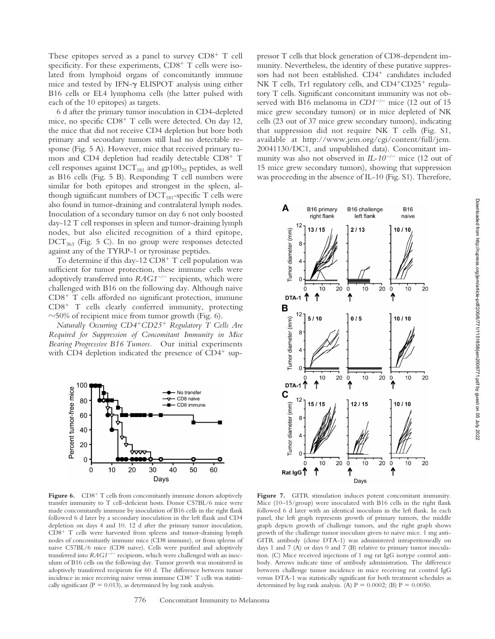These epitopes served as a panel to survey  $CDS^+$  T cell specificity. For these experiments,  $CD8<sup>+</sup>$  T cells were isolated from lymphoid organs of concomitantly immune mice and tested by IFN- $\gamma$  ELISPOT analysis using either B16 cells or EL4 lymphoma cells (the latter pulsed with each of the 10 epitopes) as targets.

6 d after the primary tumor inoculation in CD4-depleted mice, no specific  $CD8<sup>+</sup>$  T cells were detected. On day 12, the mice that did not receive CD4 depletion but bore both primary and secondary tumors still had no detectable response (Fig. 5 A). However, mice that received primary tumors and CD4 depletion had readily detectable CD8<sup>+</sup> T cell responses against  $DCT_{181}$  and gp100<sub>25</sub> peptides, as well as B16 cells (Fig. 5 B). Responding T cell numbers were similar for both epitopes and strongest in the spleen, although significant numbers of  $DCT_{181}$ -specific T cells were also found in tumor-draining and contralateral lymph nodes. Inoculation of a secondary tumor on day 6 not only boosted day-12 T cell responses in spleen and tumor-draining lymph nodes, but also elicited recognition of a third epitope,  $DCT_{363}$  (Fig. 5 C). In no group were responses detected against any of the TYRP-1 or tyrosinase peptides.

To determine if this day-12  $CD8<sup>+</sup>$  T cell population was sufficient for tumor protection, these immune cells were adoptively transferred into  $RAG1^{-/-}$  recipients, which were challenged with B16 on the following day. Although naive  $CD8<sup>+</sup>$  T cells afforded no significant protection, immune  $CD8<sup>+</sup>$  T cells clearly conferred immunity, protecting  $\sim$  50% of recipient mice from tumor growth (Fig. 6).

*Naturally Occurring CD4CD25 Regulatory T Cells Are Required for Suppression of Concomitant Immunity in Mice Bearing Progressive B16 Tumors.* Our initial experiments with CD4 depletion indicated the presence of  $CD4<sup>+</sup>$  sup-



Figure 6. CD8<sup>+</sup> T cells from concomitantly immune donors adoptively transfer immunity to T cell–deficient hosts. Donor C57BL/6 mice were made concomitantly immune by inoculation of B16 cells in the right flank followed 6 d later by a secondary inoculation in the left flank and CD4 depletion on days 4 and 10. 12 d after the primary tumor inoculation,  $CD8<sup>+</sup>$  T cells were harvested from spleens and tumor-draining lymph nodes of concomitantly immune mice (CD8 immune), or from spleens of naive C57BL/6 mice (CD8 naive). Cells were purified and adoptively transferred into  $RAG1^{-/-}$  recipients, which were challenged with an inoculum of B16 cells on the following day. Tumor growth was monitored in adoptively transferred recipients for 60 d. The difference between tumor incidence in mice receiving naive versus immune CD8+ T cells was statistically significant ( $P = 0.013$ ), as determined by log rank analysis.

munity. Nevertheless, the identity of these putative suppressors had not been established. CD4<sup>+</sup> candidates included NK T cells, Tr1 regulatory cells, and  $CD4+CD25+$  regulatory T cells. Significant concomitant immunity was not observed with B16 melanoma in *CD1<sup>-/-</sup>* mice (12 out of 15 mice grew secondary tumors) or in mice depleted of NK cells (23 out of 37 mice grew secondary tumors), indicating that suppression did not require NK T cells (Fig. S1, available at http://www.jem.org/cgi/content/full/jem. 20041130/DC1, and unpublished data). Concomitant immunity was also not observed in *IL-10<sup>-/-</sup>* mice (12 out of 15 mice grew secondary tumors), showing that suppression was proceeding in the absence of IL-10 (Fig. S1). Therefore,

pressor T cells that block generation of CD8-dependent im-



Figure 7. GITR stimulation induces potent concomitant immunity. Mice (10–15/group) were inoculated with B16 cells in the right flank followed 6 d later with an identical inoculum in the left flank. In each panel, the left graph represents growth of primary tumors, the middle graph depicts growth of challenge tumors, and the right graph shows growth of the challenge tumor inoculum given to naive mice. 1 mg anti-GITR antibody (clone DTA-1) was administered intraperitoneally on days 1 and 7 (A) or days 0 and 7 (B) relative to primary tumor inoculation. (C) Mice received injections of 1 mg rat IgG isotype control antibody. Arrows indicate time of antibody administration. The difference between challenge tumor incidence in mice receiving rat control IgG versus DTA-1 was statistically significant for both treatment schedules as determined by log rank analysis. (A)  $P = 0.0002$ ; (B)  $P = 0.0050$ .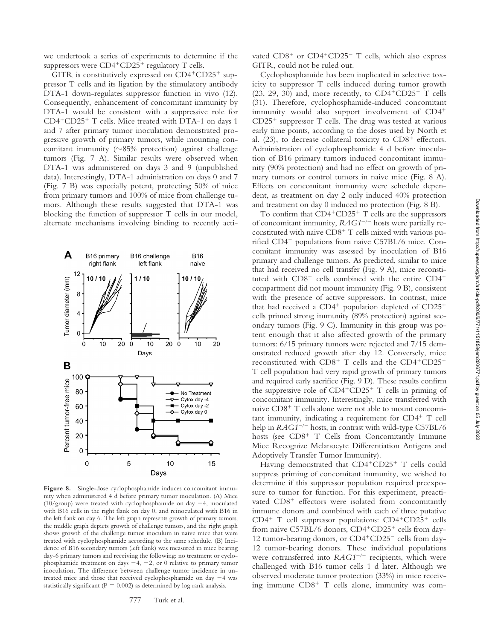we undertook a series of experiments to determine if the suppressors were  $CD4+CD25+$  regulatory T cells.

GITR is constitutively expressed on  $CD4^+CD25^+$  suppressor T cells and its ligation by the stimulatory antibody DTA-1 down-regulates suppressor function in vivo (12). Consequently, enhancement of concomitant immunity by DTA-1 would be consistent with a suppressive role for  $CD4+CD25+T$  cells. Mice treated with DTA-1 on days 1 and 7 after primary tumor inoculation demonstrated progressive growth of primary tumors, while mounting concomitant immunity ( $\sim$ 85% protection) against challenge tumors (Fig. 7 A). Similar results were observed when DTA-1 was administered on days 3 and 9 (unpublished data). Interestingly, DTA-1 administration on days 0 and 7 (Fig. 7 B) was especially potent, protecting 50% of mice from primary tumors and 100% of mice from challenge tumors. Although these results suggested that DTA-1 was blocking the function of suppressor T cells in our model, alternate mechanisms involving binding to recently acti-



**Figure 8.** Single-dose cyclophosphamide induces concomitant immunity when administered 4 d before primary tumor inoculation. (A) Mice (10/group) were treated with cyclophosphamide on day  $-4$ , inoculated with B16 cells in the right flank on day 0, and reinoculated with B16 in the left flank on day 6. The left graph represents growth of primary tumors, the middle graph depicts growth of challenge tumors, and the right graph shows growth of the challenge tumor inoculum in naive mice that were treated with cyclophosphamide according to the same schedule. (B) Incidence of B16 secondary tumors (left flank) was measured in mice bearing day-6 primary tumors and receiving the following: no treatment or cyclophosphamide treatment on days  $-4$ ,  $-2$ , or 0 relative to primary tumor inoculation. The difference between challenge tumor incidence in untreated mice and those that received cyclophosphamide on day  $-4$  was statistically significant ( $P = 0.002$ ) as determined by log rank analysis.

vated CD8<sup>+</sup> or CD4<sup>+</sup>CD25<sup>-</sup> T cells, which also express GITR, could not be ruled out.

Cyclophosphamide has been implicated in selective toxicity to suppressor T cells induced during tumor growth  $(23, 29, 30)$  and, more recently, to  $CD4+CD25+T$  cells (31). Therefore, cyclophosphamide-induced concomitant immunity would also support involvement of CD4  $CD25<sup>+</sup>$  suppressor T cells. The drug was tested at various early time points, according to the doses used by North et al.  $(23)$ , to decrease collateral toxicity to  $CD8<sup>+</sup>$  effectors. Administration of cyclophosphamide 4 d before inoculation of B16 primary tumors induced concomitant immunity (90% protection) and had no effect on growth of primary tumors or control tumors in naive mice (Fig. 8 A). Effects on concomitant immunity were schedule dependent, as treatment on day 2 only induced 40% protection and treatment on day 0 induced no protection (Fig. 8 B).

To confirm that  $CD4+CD25+T$  cells are the suppressors of concomitant immunity,  $RAG1^{-/-}$  hosts were partially reconstituted with naive  $CD8<sup>+</sup>$  T cells mixed with various purified  $CD4^+$  populations from naive C57BL/6 mice. Concomitant immunity was assessed by inoculation of B16 primary and challenge tumors. As predicted, similar to mice that had received no cell transfer (Fig. 9 A), mice reconstituted with  $CD8<sup>+</sup>$  cells combined with the entire  $CD4<sup>+</sup>$ compartment did not mount immunity (Fig. 9 B), consistent with the presence of active suppressors. In contrast, mice that had received a  $CD4^+$  population depleted of  $CD25^+$ cells primed strong immunity (89% protection) against secondary tumors (Fig. 9 C). Immunity in this group was potent enough that it also affected growth of the primary tumors: 6/15 primary tumors were rejected and 7/15 demonstrated reduced growth after day 12. Conversely, mice reconstituted with  $CD8^+$  T cells and the  $CD4^+CD25^+$ T cell population had very rapid growth of primary tumors and required early sacrifice (Fig. 9 D). These results confirm the suppressive role of  $CD4+CD25+T$  cells in priming of concomitant immunity. Interestingly, mice transferred with naive  $CD8<sup>+</sup>$  T cells alone were not able to mount concomitant immunity, indicating a requirement for  $CD4^+$  T cell help in *RAG1<sup>-/-</sup>* hosts, in contrast with wild-type C57BL/6 hosts (see  $CD8<sup>+</sup>$  T Cells from Concomitantly Immune Mice Recognize Melanocyte Differentiation Antigens and Adoptively Transfer Tumor Immunity).

Having demonstrated that  $CD4+CD25+$  T cells could suppress priming of concomitant immunity, we wished to determine if this suppressor population required preexposure to tumor for function. For this experiment, preactivated  $CD8<sup>+</sup>$  effectors were isolated from concomitantly immune donors and combined with each of three putative  $CD4^+$  T cell suppressor populations:  $CD4^+CD25^+$  cells from naive C57BL/6 donors, CD4+CD25+ cells from day-12 tumor-bearing donors, or CD4+CD25<sup>-</sup> cells from day-12 tumor-bearing donors. These individual populations were cotransferred into *RAG1<sup>-/-</sup>* recipients, which were challenged with B16 tumor cells 1 d later. Although we observed moderate tumor protection (33%) in mice receiving immune  $CD8<sup>+</sup>$  T cells alone, immunity was com-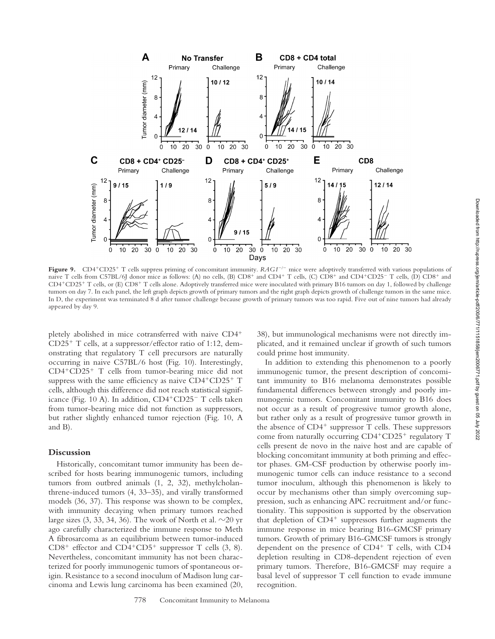

Figure 9. CD4<sup>+</sup>CD25<sup>+</sup> T cells suppress priming of concomitant immunity. *RAG1<sup>-/-</sup>* mice were adoptively transferred with various populations of naive T cells from C57BL/6J donor mice as follows: (A) no cells, (B) CD8<sup>+</sup> and CD4<sup>+</sup> T cells, (C) CD8<sup>+</sup> and CD4<sup>+</sup>CD25<sup>-</sup> T cells, (D) CD8<sup>+</sup> and CD4+CD25+ T cells, or (E) CD8+ T cells alone. Adoptively transferred mice were inoculated with primary B16 tumors on day 1, followed by challenge tumors on day 7. In each panel, the left graph depicts growth of primary tumors and the right graph depicts growth of challenge tumors in the same mice. In D, the experiment was terminated 8 d after tumor challenge because growth of primary tumors was too rapid. Five out of nine tumors had already appeared by day 9.

pletely abolished in mice cotransferred with naive CD4  $CD25<sup>+</sup>$  T cells, at a suppressor/effector ratio of 1:12, demonstrating that regulatory T cell precursors are naturally occurring in naive C57BL/6 host (Fig. 10). Interestingly,  $CD4+CD25+$  T cells from tumor-bearing mice did not suppress with the same efficiency as naive  $CD4+CD25+T$ cells, although this difference did not reach statistical significance (Fig. 10 A). In addition, CD4<sup>+</sup>CD25<sup>-</sup> T cells taken from tumor-bearing mice did not function as suppressors, but rather slightly enhanced tumor rejection (Fig. 10, A and B).

# **Discussion**

Historically, concomitant tumor immunity has been described for hosts bearing immunogenic tumors, including tumors from outbred animals (1, 2, 32), methylcholanthrene-induced tumors (4, 33–35), and virally transformed models (36, 37). This response was shown to be complex, with immunity decaying when primary tumors reached large sizes (3, 33, 34, 36). The work of North et al.  $\sim$ 20 yr ago carefully characterized the immune response to Meth A fibrosarcoma as an equilibrium between tumor-induced  $CD8<sup>+</sup>$  effector and  $CD4<sup>+</sup>CD5<sup>+</sup>$  suppressor T cells (3, 8). Nevertheless, concomitant immunity has not been characterized for poorly immunogenic tumors of spontaneous origin. Resistance to a second inoculum of Madison lung carcinoma and Lewis lung carcinoma has been examined (20,

38), but immunological mechanisms were not directly implicated, and it remained unclear if growth of such tumors could prime host immunity.

In addition to extending this phenomenon to a poorly immunogenic tumor, the present description of concomitant immunity to B16 melanoma demonstrates possible fundamental differences between strongly and poorly immunogenic tumors. Concomitant immunity to B16 does not occur as a result of progressive tumor growth alone, but rather only as a result of progressive tumor growth in the absence of  $CD4^+$  suppressor T cells. These suppressors come from naturally occurring  $CD4+CD25+$  regulatory T cells present de novo in the naive host and are capable of blocking concomitant immunity at both priming and effector phases. GM-CSF production by otherwise poorly immunogenic tumor cells can induce resistance to a second tumor inoculum, although this phenomenon is likely to occur by mechanisms other than simply overcoming suppression, such as enhancing APC recruitment and/or functionality. This supposition is supported by the observation that depletion of  $CD4<sup>+</sup>$  suppressors further augments the immune response in mice bearing B16-GMCSF primary tumors. Growth of primary B16-GMCSF tumors is strongly dependent on the presence of  $CD4^+$  T cells, with  $CD4$ depletion resulting in CD8-dependent rejection of even primary tumors. Therefore, B16-GMCSF may require a basal level of suppressor T cell function to evade immune recognition.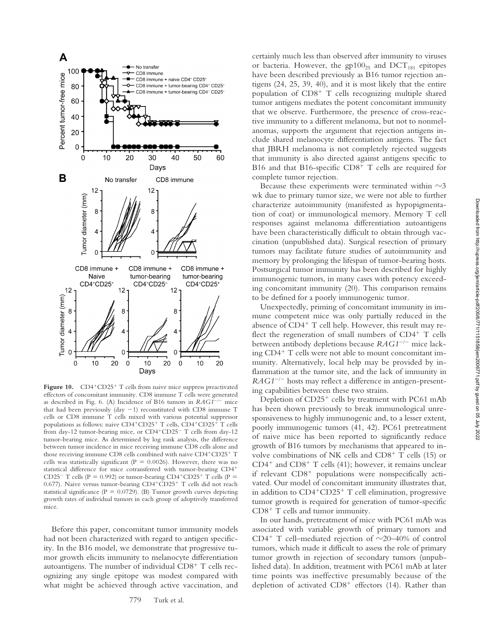

**Figure 10.** CD4<sup>+</sup>CD25<sup>+</sup> T cells from naive mice suppress preactivated effectors of concomitant immunity. CD8 immune T cells were generated as described in Fig. 6. (A) Incidence of B16 tumors in *RAG1<sup>-/-</sup>* mice that had been previously (day  $-1$ ) reconstituted with CD8 immune T cells or CD8 immune T cells mixed with various potential suppressor populations as follows: naive  $CD4+CD25+T$  cells,  $CD4+CD25+T$  cells from day-12 tumor-bearing mice, or CD4<sup>+</sup>CD25<sup>-</sup> T cells from day-12 tumor-bearing mice. As determined by log rank analysis, the difference between tumor incidence in mice receiving immune CD8 cells alone and those receiving immune CD8 cells combined with naive  $CD4+CD25+T$ cells was statistically significant ( $P = 0.0026$ ). However, there was no statistical difference for mice cotransferred with tumor-bearing CD4 CD25<sup>-</sup> T cells (P = 0.992) or tumor-bearing CD4<sup>+</sup>CD25<sup>+</sup> T cells (P = 0.677). Naive versus tumor-bearing  $CD4^+CD25^+$  T cells did not reach statistical significance ( $P = 0.0729$ ). (B) Tumor growth curves depicting growth rates of individual tumors in each group of adoptively transferred mice.

Before this paper, concomitant tumor immunity models had not been characterized with regard to antigen specificity. In the B16 model, we demonstrate that progressive tumor growth elicits immunity to melanocyte differentiation autoantigens. The number of individual  $CD8<sup>+</sup>$  T cells recognizing any single epitope was modest compared with what might be achieved through active vaccination, and

certainly much less than observed after immunity to viruses or bacteria. However, the  $gp100_{25}$  and  $DCT_{181}$  epitopes have been described previously as B16 tumor rejection antigens (24, 25, 39, 40), and it is most likely that the entire population of  $CD8<sup>+</sup>$  T cells recognizing multiple shared tumor antigens mediates the potent concomitant immunity that we observe. Furthermore, the presence of cross-reactive immunity to a different melanoma, but not to nonmelanomas, supports the argument that rejection antigens include shared melanocyte differentiation antigens. The fact that JBRH melanoma is not completely rejected suggests that immunity is also directed against antigens specific to B16 and that B16-specific  $CD8<sup>+</sup>$  T cells are required for complete tumor rejection.

Because these experiments were terminated within  $\sim$ 3 wk due to primary tumor size, we were not able to further characterize autoimmunity (manifested as hypopigmentation of coat) or immunological memory. Memory T cell responses against melanoma differentiation autoantigens have been characteristically difficult to obtain through vaccination (unpublished data). Surgical resection of primary tumors may facilitate future studies of autoimmunity and memory by prolonging the lifespan of tumor-bearing hosts. Postsurgical tumor immunity has been described for highly immunogenic tumors, in many cases with potency exceeding concomitant immunity (20). This comparison remains to be defined for a poorly immunogenic tumor.

Unexpectedly, priming of concomitant immunity in immune competent mice was only partially reduced in the absence of  $CD4^+$  T cell help. However, this result may reflect the regeneration of small numbers of  $CD4^+$  T cells between antibody depletions because *RAG1<sup>-/-</sup>* mice lacking  $CD4^+$  T cells were not able to mount concomitant immunity. Alternatively, local help may be provided by inflammation at the tumor site, and the lack of immunity in RAG1<sup>-/-</sup> hosts may reflect a difference in antigen-presenting capabilities between these two strains.

Depletion of  $CD25<sup>+</sup>$  cells by treatment with PC61 mAb has been shown previously to break immunological unresponsiveness to highly immunogenic and, to a lesser extent, poorly immunogenic tumors (41, 42). PC61 pretreatment of naive mice has been reported to significantly reduce growth of B16 tumors by mechanisms that appeared to involve combinations of NK cells and  $CD8<sup>+</sup>$  T cells (15) or  $CD4^+$  and  $CD8^+$  T cells (41); however, it remains unclear if relevant  $CD8<sup>+</sup>$  populations were nonspecifically activated. Our model of concomitant immunity illustrates that, in addition to  $CD4+CD25+T$  cell elimination, progressive tumor growth is required for generation of tumor-specific  $CD8<sup>+</sup>$  T cells and tumor immunity.

In our hands, pretreatment of mice with PC61 mAb was associated with variable growth of primary tumors and CD4<sup>+</sup> T cell–mediated rejection of  $\sim$ 20–40% of control tumors, which made it difficult to assess the role of primary tumor growth in rejection of secondary tumors (unpublished data). In addition, treatment with PC61 mAb at later time points was ineffective presumably because of the depletion of activated  $CD8^+$  effectors (14). Rather than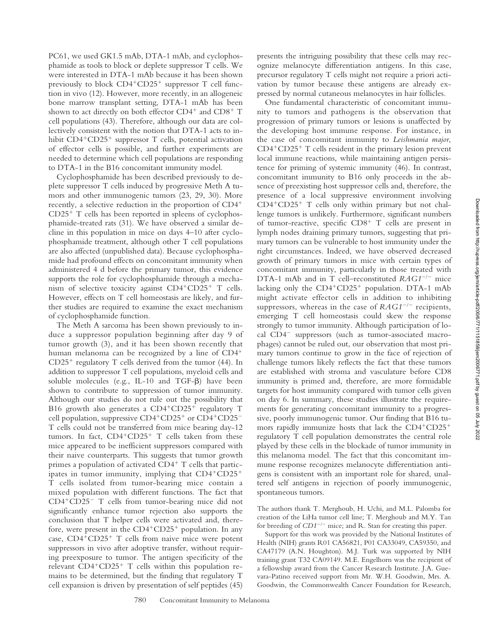PC61, we used GK1.5 mAb, DTA-1 mAb, and cyclophosphamide as tools to block or deplete suppressor T cells. We were interested in DTA-1 mAb because it has been shown previously to block  $CD4+CD25+$  suppressor T cell function in vivo (12). However, more recently, in an allogeneic bone marrow transplant setting, DTA-1 mAb has been shown to act directly on both effector  $CD4^+$  and  $CD8^+$  T cell populations (43). Therefore, although our data are collectively consistent with the notion that DTA-1 acts to inhibit  $CD4+CD25+$  suppressor T cells, potential activation of effector cells is possible, and further experiments are needed to determine which cell populations are responding to DTA-1 in the B16 concomitant immunity model.

Cyclophosphamide has been described previously to deplete suppressor T cells induced by progressive Meth A tumors and other immunogenic tumors (23, 29, 30). More recently, a selective reduction in the proportion of CD4  $CD25<sup>+</sup>$  T cells has been reported in spleens of cyclophosphamide-treated rats (31). We have observed a similar decline in this population in mice on days 4–10 after cyclophosphamide treatment, although other T cell populations are also affected (unpublished data). Because cyclophosphamide had profound effects on concomitant immunity when administered 4 d before the primary tumor, this evidence supports the role for cyclophosphamide through a mechanism of selective toxicity against  $CD4+CD25+$  T cells. However, effects on T cell homeostasis are likely, and further studies are required to examine the exact mechanism of cyclophosphamide function.

The Meth A sarcoma has been shown previously to induce a suppressor population beginning after day 9 of tumor growth (3), and it has been shown recently that human melanoma can be recognized by a line of CD4<sup>+</sup>  $CD25<sup>+</sup>$  regulatory T cells derived from the tumor (44). In addition to suppressor T cell populations, myeloid cells and soluble molecules (e.g., IL-10 and  $TGF-B$ ) have been shown to contribute to suppression of tumor immunity. Although our studies do not rule out the possibility that B16 growth also generates a  $CD4+CD25+$  regulatory T cell population, suppressive CD4+CD25+ or CD4+CD25-T cells could not be transferred from mice bearing day-12 tumors. In fact,  $CD4+CD25+$  T cells taken from these mice appeared to be inefficient suppressors compared with their naive counterparts. This suggests that tumor growth primes a population of activated  $CD4^+$  T cells that participates in tumor immunity, implying that  $CD4+CD25+$ T cells isolated from tumor-bearing mice contain a mixed population with different functions. The fact that CD4+CD25- T cells from tumor-bearing mice did not significantly enhance tumor rejection also supports the conclusion that T helper cells were activated and, therefore, were present in the  $CD4+CD25+$  population. In any case,  $CD4+CD25+T$  cells from naive mice were potent suppressors in vivo after adoptive transfer, without requiring preexposure to tumor. The antigen specificity of the relevant  $CD4+CD25+T$  cells within this population remains to be determined, but the finding that regulatory T cell expansion is driven by presentation of self peptides (45)

780 Concomitant Immunity to Melanoma

presents the intriguing possibility that these cells may recognize melanocyte differentiation antigens. In this case, precursor regulatory T cells might not require a priori activation by tumor because these antigens are already expressed by normal cutaneous melanocytes in hair follicles.

One fundamental characteristic of concomitant immunity to tumors and pathogens is the observation that progression of primary tumors or lesions is unaffected by the developing host immune response. For instance, in the case of concomitant immunity to *Leishmania major*,  $CD4+CD25+T$  cells resident in the primary lesion prevent local immune reactions, while maintaining antigen persistence for priming of systemic immunity (46). In contrast, concomitant immunity to B16 only proceeds in the absence of preexisting host suppressor cells and, therefore, the presence of a local suppressive environment involving  $CD4+CD25+$  T cells only within primary but not challenge tumors is unlikely. Furthermore, significant numbers of tumor-reactive, specific  $CD8<sup>+</sup>$  T cells are present in lymph nodes draining primary tumors, suggesting that primary tumors can be vulnerable to host immunity under the right circumstances. Indeed, we have observed decreased growth of primary tumors in mice with certain types of concomitant immunity, particularly in those treated with DTA-1 mAb and in T cell–reconstituted *RAG1<sup>-/-</sup>* mice lacking only the  $CD4+CD25+$  population. DTA-1 mAb might activate effector cells in addition to inhibiting suppressors, whereas in the case of *RAG1<sup>-/-</sup>* recipients, emerging T cell homeostasis could skew the response strongly to tumor immunity. Although participation of local CD4- suppressors (such as tumor-associated macrophages) cannot be ruled out, our observation that most primary tumors continue to grow in the face of rejection of challenge tumors likely reflects the fact that these tumors are established with stroma and vasculature before CD8 immunity is primed and, therefore, are more formidable targets for host immunity compared with tumor cells given on day 6. In summary, these studies illustrate the requirements for generating concomitant immunity to a progressive, poorly immunogenic tumor. Our finding that B16 tumors rapidly immunize hosts that lack the  $CD4+CD25+$ regulatory T cell population demonstrates the central role played by these cells in the blockade of tumor immunity in this melanoma model. The fact that this concomitant immune response recognizes melanocyte differentiation antigens is consistent with an important role for shared, unaltered self antigens in rejection of poorly immunogenic, spontaneous tumors.

The authors thank T. Merghoub, H. Uchi, and M.L. Palomba for creation of the LiHa tumor cell line; T. Merghoub and M.Y. Tan for breeding of *CD1<sup>-/-</sup>* mice; and R. Stan for creating this paper.

Support for this work was provided by the National Institutes of Health (NIH) grants R01 CA56821, P01 CA33049, CA59350, and CA47179 (A.N. Houghton). M.J. Turk was supported by NIH training grant T32 CA09149. M.E. Engelhorn was the recipient of a fellowship award from the Cancer Research Institute. J.A. Guevara-Patino received support from Mr. W.H. Goodwin, Mrs. A. Goodwin, the Commonwealth Cancer Foundation for Research,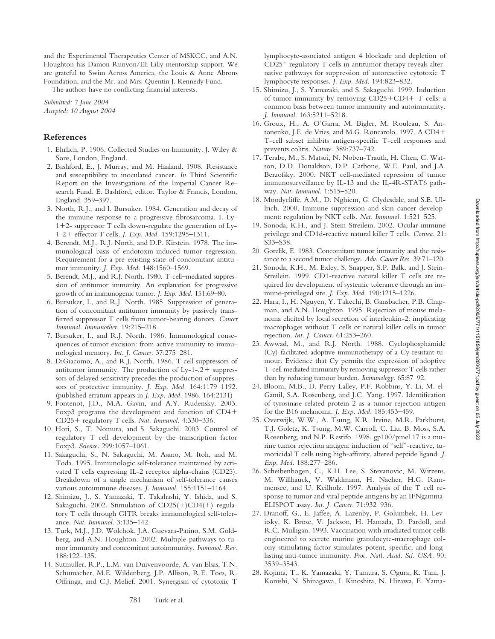and the Experimental Therapeutics Center of MSKCC, and A.N. Houghton has Damon Runyon/Eli Lilly mentorship support. We are grateful to Swim Across America, the Louis & Anne Abrons Foundation, and the Mr. and Mrs. Quentin J. Kennedy Fund.

The authors have no conflicting financial interests.

*Submitted: 7 June 2004 Accepted: 10 August 2004*

## **References**

- 1. Ehrlich, P. 1906. Collected Studies on Immunity. J. Wiley & Sons, London, England.
- 2. Bashford, E., J. Murray, and M. Haaland. 1908. Resistance and susceptibility to inoculated cancer. *In* Third Scientific Report on the Investigations of the Imperial Cancer Research Fund. E. Bashford, editor. Taylor & Francis, London, England. 359–397.
- 3. North, R.J., and I. Bursuker. 1984. Generation and decay of the immune response to a progressive fibrosarcoma. I. Ly- $1+2$ - suppressor T cells down-regulate the generation of Ly-1-2 effector T cells. *J. Exp. Med.* 159:1295–1311.
- 4. Berendt, M.J., R.J. North, and D.P. Kirstein. 1978. The immunological basis of endotoxin-induced tumor regression. Requirement for a pre-existing state of concomitant antitumor immunity. *J. Exp. Med.* 148:1560–1569.
- 5. Berendt, M.J., and R.J. North. 1980. T-cell–mediated suppression of antitumor immunity. An explanation for progressive growth of an immunogenic tumor. *J. Exp. Med.* 151:69–80.
- 6. Bursuker, I., and R.J. North. 1985. Suppression of generation of concomitant antitumor immunity by passively transferred suppressor T cells from tumor-bearing donors. *Cancer Immunol. Immunother.* 19:215–218.
- 7. Bursuker, I., and R.J. North. 1986. Immunological consequences of tumor excision: from active immunity to immunological memory. *Int. J. Cancer.* 37:275–281.
- 8. DiGiacomo, A., and R.J. North. 1986. T cell suppressors of antitumor immunity. The production of  $Ly-1-2+$  suppressors of delayed sensitivity precedes the production of suppressors of protective immunity. *J. Exp. Med.* 164:1179–1192. (published erratum appears in *J. Exp. Med*. 1986. 164:2131)
- 9. Fontenot, J.D., M.A. Gavin, and A.Y. Rudensky. 2003. Foxp3 programs the development and function of CD4 CD25 regulatory T cells. *Nat. Immunol.* 4:330–336.
- 10. Hori, S., T. Nomura, and S. Sakaguchi. 2003. Control of regulatory T cell development by the transcription factor Foxp3. *Science.* 299:1057–1061.
- 11. Sakaguchi, S., N. Sakaguchi, M. Asano, M. Itoh, and M. Toda. 1995. Immunologic self-tolerance maintained by activated T cells expressing IL-2 receptor alpha-chains (CD25). Breakdown of a single mechanism of self-tolerance causes various autoimmune diseases. *J. Immunol.* 155:1151–1164.
- 12. Shimizu, J., S. Yamazaki, T. Takahashi, Y. Ishida, and S. Sakaguchi. 2002. Stimulation of  $CD25(+)CD4(+)$  regulatory T cells through GITR breaks immunological self-tolerance. *Nat. Immunol.* 3:135–142.
- 13. Turk, M.J., J.D. Wolchok, J.A. Guevara-Patino, S.M. Goldberg, and A.N. Houghton. 2002. Multiple pathways to tumor immunity and concomitant autoimmunity. *Immunol. Rev.* 188:122–135.
- 14. Sutmuller, R.P., L.M. van Duivenvoorde, A. van Elsas, T.N. Schumacher, M.E. Wildenberg, J.P. Allison, R.E. Toes, R. Offringa, and C.J. Melief. 2001. Synergism of cytotoxic T

lymphocyte-associated antigen 4 blockade and depletion of  $CD25<sup>+</sup>$  regulatory T cells in antitumor therapy reveals alternative pathways for suppression of autoreactive cytotoxic T lymphocyte responses. *J. Exp. Med.* 194:823–832.

- 15. Shimizu, J., S. Yamazaki, and S. Sakaguchi. 1999. Induction of tumor immunity by removing  $CD25 + CD4 + T$  cells: a common basis between tumor immunity and autoimmunity. *J. Immunol.* 163:5211–5218.
- 16. Groux, H., A. O'Garra, M. Bigler, M. Rouleau, S. Antonenko, J.E. de Vries, and M.G. Roncarolo. 1997. A CD4 T-cell subset inhibits antigen-specific T-cell responses and prevents colitis. *Nature.* 389:737–742.
- 17. Terabe, M., S. Matsui, N. Noben-Trauth, H. Chen, C. Watson, D.D. Donaldson, D.P. Carbone, W.E. Paul, and J.A. Berzofsky. 2000. NKT cell-mediated repression of tumor immunosurveillance by IL-13 and the IL-4R-STAT6 pathway. *Nat. Immunol.* 1:515–520.
- 18. Moodycliffe, A.M., D. Nghiem, G. Clydesdale, and S.E. Ullrich. 2000. Immune suppression and skin cancer development: regulation by NKT cells. *Nat. Immunol.* 1:521–525.
- 19. Sonoda, K.H., and J. Stein-Streilein. 2002. Ocular immune privilege and CD1d-reactive natural killer T cells. *Cornea.* 21: S33–S38.
- 20. Gorelik, E. 1983. Concomitant tumor immunity and the resistance to a second tumor challenge. *Adv. Cancer Res.* 39:71–120.
- 21. Sonoda, K.H., M. Exley, S. Snapper, S.P. Balk, and J. Stein-Streilein. 1999. CD1-reactive natural killer T cells are required for development of systemic tolerance through an immune-privileged site. *J. Exp. Med.* 190:1215–1226.
- 22. Hara, I., H. Nguyen, Y. Takechi, B. Gansbacher, P.B. Chapman, and A.N. Houghton. 1995. Rejection of mouse melanoma elicited by local secretion of interleukin-2: implicating macrophages without T cells or natural killer cells in tumor rejection. *Int. J. Cancer.* 61:253–260.
- 23. Awwad, M., and R.J. North. 1988. Cyclophosphamide (Cy)-facilitated adoptive immunotherapy of a Cy-resistant tumour. Evidence that Cy permits the expression of adoptive T-cell mediated immunity by removing suppressor T cells rather than by reducing tumour burden. *Immunology.* 65:87–92.
- 24. Bloom, M.B., D. Perry-Lalley, P.F. Robbins, Y. Li, M. el-Gamil, S.A. Rosenberg, and J.C. Yang. 1997. Identification of tyrosinase-related protein 2 as a tumor rejection antigen for the B16 melanoma. *J. Exp. Med.* 185:453–459.
- 25. Overwijk, W.W., A. Tsung, K.R. Irvine, M.R. Parkhurst, T.J. Goletz, K. Tsung, M.W. Carroll, C. Liu, B. Moss, S.A. Rosenberg, and N.P. Restifo. 1998. gp100/pmel 17 is a murine tumor rejection antigen: induction of "self"-reactive, tumoricidal T cells using high-affinity, altered peptide ligand. *J. Exp. Med.* 188:277–286.
- 26. Scheibenbogen, C., K.H. Lee, S. Stevanovic, M. Witzens, M. Willhauck, V. Waldmann, H. Naeher, H.G. Rammensee, and U. Keilholz. 1997. Analysis of the T cell response to tumor and viral peptide antigens by an IFNgamma-ELISPOT assay. *Int. J. Cancer.* 71:932–936.
- 27. Dranoff, G., E. Jaffee, A. Lazenby, P. Golumbek, H. Levitsky, K. Brose, V. Jackson, H. Hamada, D. Pardoll, and R.C. Mulligan. 1993. Vaccination with irradiated tumor cells engineered to secrete murine granulocyte-macrophage colony-stimulating factor stimulates potent, specific, and longlasting anti-tumor immunity. *Proc. Natl. Acad. Sci. USA.* 90: 3539–3543.
- 28. Kojima, T., K. Yamazaki, Y. Tamura, S. Ogura, K. Tani, J. Konishi, N. Shinagawa, I. Kinoshita, N. Hizawa, E. Yama-